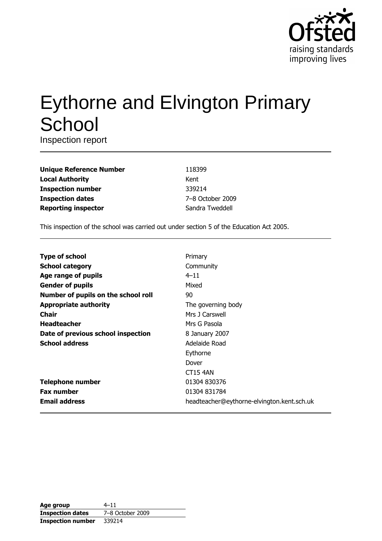

# **Eythorne and Elvington Primary** School

Inspection report

| <b>Unique Reference Number</b> |
|--------------------------------|
| <b>Local Authority</b>         |
| <b>Inspection number</b>       |
| <b>Inspection dates</b>        |
| <b>Reporting inspector</b>     |

118399 Kent 339214 7-8 October 2009 Sandra Tweddell

This inspection of the school was carried out under section 5 of the Education Act 2005.

| <b>Type of school</b>               | Primary                                    |
|-------------------------------------|--------------------------------------------|
| <b>School category</b>              | Community                                  |
| Age range of pupils                 | $4 - 11$                                   |
| <b>Gender of pupils</b>             | Mixed                                      |
| Number of pupils on the school roll | 90                                         |
| <b>Appropriate authority</b>        | The governing body                         |
| Chair                               | Mrs 1 Carswell                             |
| <b>Headteacher</b>                  | Mrs G Pasola                               |
| Date of previous school inspection  | 8 January 2007                             |
| <b>School address</b>               | Adelaide Road                              |
|                                     | Eythorne                                   |
|                                     | Dover                                      |
|                                     | <b>CT15 4AN</b>                            |
| <b>Telephone number</b>             | 01304 830376                               |
| <b>Fax number</b>                   | 01304 831784                               |
| <b>Email address</b>                | headteacher@eythorne-elvington.kent.sch.uk |

| Age group                | $4 - 11$         |
|--------------------------|------------------|
| <b>Inspection dates</b>  | 7-8 October 2009 |
| <b>Inspection number</b> | 339214           |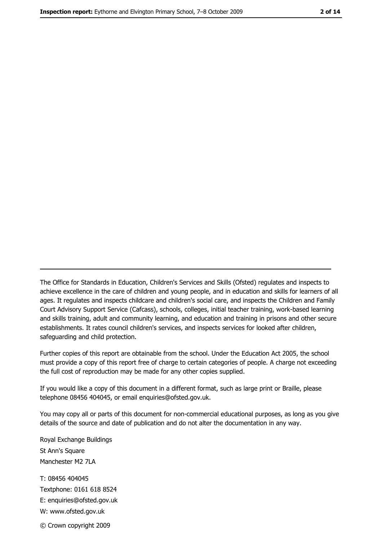The Office for Standards in Education, Children's Services and Skills (Ofsted) regulates and inspects to achieve excellence in the care of children and young people, and in education and skills for learners of all ages. It regulates and inspects childcare and children's social care, and inspects the Children and Family Court Advisory Support Service (Cafcass), schools, colleges, initial teacher training, work-based learning and skills training, adult and community learning, and education and training in prisons and other secure establishments. It rates council children's services, and inspects services for looked after children, safequarding and child protection.

Further copies of this report are obtainable from the school. Under the Education Act 2005, the school must provide a copy of this report free of charge to certain categories of people. A charge not exceeding the full cost of reproduction may be made for any other copies supplied.

If you would like a copy of this document in a different format, such as large print or Braille, please telephone 08456 404045, or email enquiries@ofsted.gov.uk.

You may copy all or parts of this document for non-commercial educational purposes, as long as you give details of the source and date of publication and do not alter the documentation in any way.

Royal Exchange Buildings St Ann's Square Manchester M2 7LA T: 08456 404045 Textphone: 0161 618 8524 E: enquiries@ofsted.gov.uk W: www.ofsted.gov.uk © Crown copyright 2009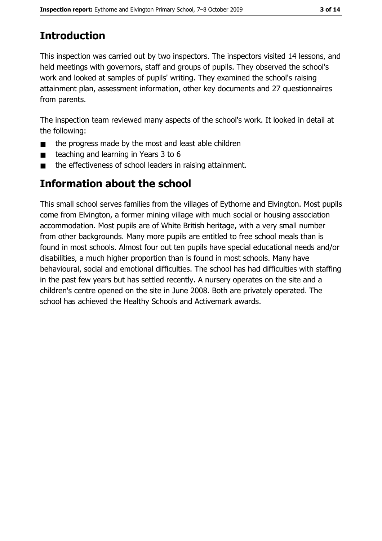# **Introduction**

This inspection was carried out by two inspectors. The inspectors visited 14 lessons, and held meetings with governors, staff and groups of pupils. They observed the school's work and looked at samples of pupils' writing. They examined the school's raising attainment plan, assessment information, other key documents and 27 questionnaires from parents.

The inspection team reviewed many aspects of the school's work. It looked in detail at the following:

- the progress made by the most and least able children  $\blacksquare$
- teaching and learning in Years 3 to 6  $\blacksquare$
- the effectiveness of school leaders in raising attainment.  $\blacksquare$

## **Information about the school**

This small school serves families from the villages of Eythorne and Elvington. Most pupils come from Elvington, a former mining village with much social or housing association accommodation. Most pupils are of White British heritage, with a very small number from other backgrounds. Many more pupils are entitled to free school meals than is found in most schools. Almost four out ten pupils have special educational needs and/or disabilities, a much higher proportion than is found in most schools. Many have behavioural, social and emotional difficulties. The school has had difficulties with staffing in the past few years but has settled recently. A nursery operates on the site and a children's centre opened on the site in June 2008. Both are privately operated. The school has achieved the Healthy Schools and Activemark awards.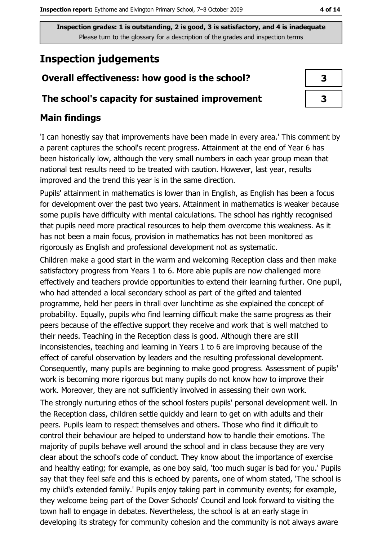# **Inspection judgements**

## Overall effectiveness: how good is the school?

## The school's capacity for sustained improvement

## **Main findings**

'I can honestly say that improvements have been made in every area.' This comment by a parent captures the school's recent progress. Attainment at the end of Year 6 has been historically low, although the very small numbers in each year group mean that national test results need to be treated with caution. However, last year, results improved and the trend this year is in the same direction.

Pupils' attainment in mathematics is lower than in English, as English has been a focus for development over the past two years. Attainment in mathematics is weaker because some pupils have difficulty with mental calculations. The school has rightly recognised that pupils need more practical resources to help them overcome this weakness. As it has not been a main focus, provision in mathematics has not been monitored as rigorously as English and professional development not as systematic.

Children make a good start in the warm and welcoming Reception class and then make satisfactory progress from Years 1 to 6. More able pupils are now challenged more effectively and teachers provide opportunities to extend their learning further. One pupil, who had attended a local secondary school as part of the gifted and talented programme, held her peers in thrall over lunchtime as she explained the concept of probability. Equally, pupils who find learning difficult make the same progress as their peers because of the effective support they receive and work that is well matched to their needs. Teaching in the Reception class is good. Although there are still inconsistencies, teaching and learning in Years 1 to 6 are improving because of the effect of careful observation by leaders and the resulting professional development. Consequently, many pupils are beginning to make good progress. Assessment of pupils' work is becoming more rigorous but many pupils do not know how to improve their work. Moreover, they are not sufficiently involved in assessing their own work.

The strongly nurturing ethos of the school fosters pupils' personal development well. In the Reception class, children settle quickly and learn to get on with adults and their peers. Pupils learn to respect themselves and others. Those who find it difficult to control their behaviour are helped to understand how to handle their emotions. The majority of pupils behave well around the school and in class because they are very clear about the school's code of conduct. They know about the importance of exercise and healthy eating; for example, as one boy said, 'too much sugar is bad for you,' Pupils say that they feel safe and this is echoed by parents, one of whom stated, 'The school is my child's extended family.' Pupils enjoy taking part in community events; for example, they welcome being part of the Dover Schools' Council and look forward to visiting the town hall to engage in debates. Nevertheless, the school is at an early stage in developing its strategy for community cohesion and the community is not always aware

| 3 |  |
|---|--|
| 3 |  |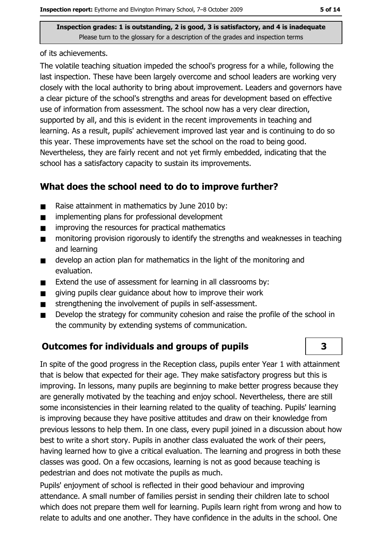of its achievements.

The volatile teaching situation impeded the school's progress for a while, following the last inspection. These have been largely overcome and school leaders are working very closely with the local authority to bring about improvement. Leaders and governors have a clear picture of the school's strengths and areas for development based on effective use of information from assessment. The school now has a very clear direction, supported by all, and this is evident in the recent improvements in teaching and learning. As a result, pupils' achievement improved last year and is continuing to do so this year. These improvements have set the school on the road to being good. Nevertheless, they are fairly recent and not yet firmly embedded, indicating that the school has a satisfactory capacity to sustain its improvements.

## What does the school need to do to improve further?

- Raise attainment in mathematics by June 2010 by:  $\blacksquare$
- implementing plans for professional development  $\blacksquare$
- improving the resources for practical mathematics  $\blacksquare$
- monitoring provision rigorously to identify the strengths and weaknesses in teaching  $\blacksquare$ and learning
- develop an action plan for mathematics in the light of the monitoring and  $\blacksquare$ evaluation.
- Extend the use of assessment for learning in all classrooms by:  $\blacksquare$
- giving pupils clear quidance about how to improve their work  $\blacksquare$
- strengthening the involvement of pupils in self-assessment.  $\blacksquare$
- Develop the strategy for community cohesion and raise the profile of the school in  $\blacksquare$ the community by extending systems of communication.

## **Outcomes for individuals and groups of pupils**

In spite of the good progress in the Reception class, pupils enter Year 1 with attainment that is below that expected for their age. They make satisfactory progress but this is improving. In lessons, many pupils are beginning to make better progress because they are generally motivated by the teaching and enjoy school. Nevertheless, there are still some inconsistencies in their learning related to the quality of teaching. Pupils' learning is improving because they have positive attitudes and draw on their knowledge from previous lessons to help them. In one class, every pupil joined in a discussion about how best to write a short story. Pupils in another class evaluated the work of their peers, having learned how to give a critical evaluation. The learning and progress in both these classes was good. On a few occasions, learning is not as good because teaching is pedestrian and does not motivate the pupils as much.

Pupils' enjoyment of school is reflected in their good behaviour and improving attendance. A small number of families persist in sending their children late to school which does not prepare them well for learning. Pupils learn right from wrong and how to relate to adults and one another. They have confidence in the adults in the school. One

3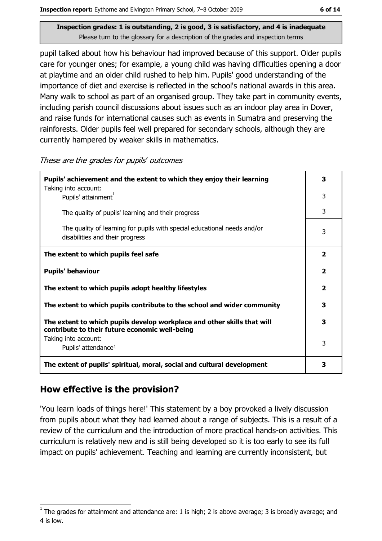pupil talked about how his behaviour had improved because of this support. Older pupils care for younger ones; for example, a young child was having difficulties opening a door at playtime and an older child rushed to help him. Pupils' good understanding of the importance of diet and exercise is reflected in the school's national awards in this area. Many walk to school as part of an organised group. They take part in community events, including parish council discussions about issues such as an indoor play area in Dover, and raise funds for international causes such as events in Sumatra and preserving the rainforests. Older pupils feel well prepared for secondary schools, although they are currently hampered by weaker skills in mathematics.

| These are the grades for pupils' outcomes |  |  |  |
|-------------------------------------------|--|--|--|
|-------------------------------------------|--|--|--|

| Pupils' achievement and the extent to which they enjoy their learning                                                     |              |  |
|---------------------------------------------------------------------------------------------------------------------------|--------------|--|
| Taking into account:<br>Pupils' attainment <sup>1</sup>                                                                   | 3            |  |
| The quality of pupils' learning and their progress                                                                        | 3            |  |
| The quality of learning for pupils with special educational needs and/or<br>disabilities and their progress               | 3            |  |
| The extent to which pupils feel safe                                                                                      | $\mathbf{z}$ |  |
| <b>Pupils' behaviour</b>                                                                                                  | 2            |  |
| The extent to which pupils adopt healthy lifestyles                                                                       | 2            |  |
| The extent to which pupils contribute to the school and wider community                                                   | 3            |  |
| The extent to which pupils develop workplace and other skills that will<br>contribute to their future economic well-being | 3            |  |
| Taking into account:<br>Pupils' attendance <sup>1</sup>                                                                   | 3            |  |
| The extent of pupils' spiritual, moral, social and cultural development                                                   | 3            |  |

## How effective is the provision?

'You learn loads of things here!' This statement by a boy provoked a lively discussion from pupils about what they had learned about a range of subjects. This is a result of a review of the curriculum and the introduction of more practical hands-on activities. This curriculum is relatively new and is still being developed so it is too early to see its full impact on pupils' achievement. Teaching and learning are currently inconsistent, but

The grades for attainment and attendance are: 1 is high; 2 is above average; 3 is broadly average; and 4 is low.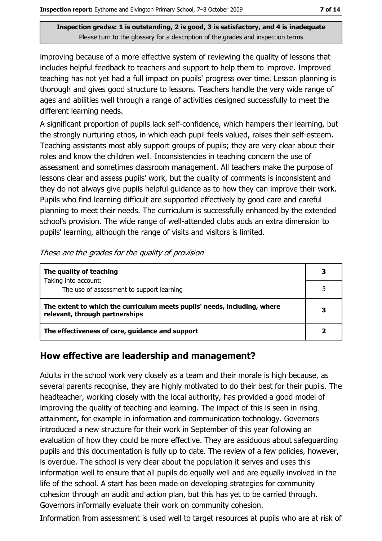improving because of a more effective system of reviewing the quality of lessons that includes helpful feedback to teachers and support to help them to improve. Improved teaching has not yet had a full impact on pupils' progress over time. Lesson planning is thorough and gives good structure to lessons. Teachers handle the very wide range of ages and abilities well through a range of activities designed successfully to meet the different learning needs.

A significant proportion of pupils lack self-confidence, which hampers their learning, but the strongly nurturing ethos, in which each pupil feels valued, raises their self-esteem. Teaching assistants most ably support groups of pupils; they are very clear about their roles and know the children well. Inconsistencies in teaching concern the use of assessment and sometimes classroom management. All teachers make the purpose of lessons clear and assess pupils' work, but the quality of comments is inconsistent and they do not always give pupils helpful guidance as to how they can improve their work. Pupils who find learning difficult are supported effectively by good care and careful planning to meet their needs. The curriculum is successfully enhanced by the extended school's provision. The wide range of well-attended clubs adds an extra dimension to pupils' learning, although the range of visits and visitors is limited.

| The quality of teaching                                                                                    |   |
|------------------------------------------------------------------------------------------------------------|---|
| Taking into account:<br>The use of assessment to support learning                                          |   |
| The extent to which the curriculum meets pupils' needs, including, where<br>relevant, through partnerships | 3 |
| The effectiveness of care, guidance and support                                                            |   |

These are the grades for the quality of provision

## How effective are leadership and management?

Adults in the school work very closely as a team and their morale is high because, as several parents recognise, they are highly motivated to do their best for their pupils. The headteacher, working closely with the local authority, has provided a good model of improving the quality of teaching and learning. The impact of this is seen in rising attainment, for example in information and communication technology. Governors introduced a new structure for their work in September of this year following an evaluation of how they could be more effective. They are assiduous about safeguarding pupils and this documentation is fully up to date. The review of a few policies, however, is overdue. The school is very clear about the population it serves and uses this information well to ensure that all pupils do equally well and are equally involved in the life of the school. A start has been made on developing strategies for community cohesion through an audit and action plan, but this has yet to be carried through. Governors informally evaluate their work on community cohesion.

Information from assessment is used well to target resources at pupils who are at risk of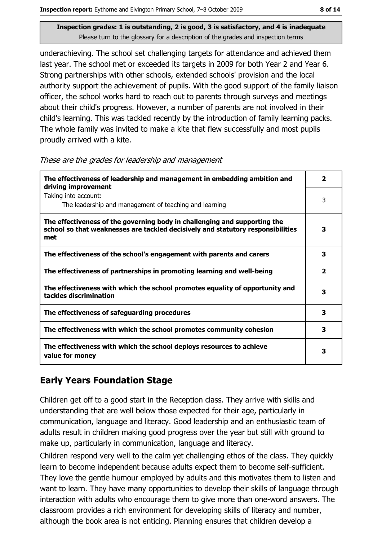underachieving. The school set challenging targets for attendance and achieved them last year. The school met or exceeded its targets in 2009 for both Year 2 and Year 6. Strong partnerships with other schools, extended schools' provision and the local authority support the achievement of pupils. With the good support of the family liaison officer, the school works hard to reach out to parents through surveys and meetings about their child's progress. However, a number of parents are not involved in their child's learning. This was tackled recently by the introduction of family learning packs. The whole family was invited to make a kite that flew successfully and most pupils proudly arrived with a kite.

|  |  | These are the grades for leadership and management |  |  |
|--|--|----------------------------------------------------|--|--|
|  |  |                                                    |  |  |

| The effectiveness of leadership and management in embedding ambition and<br>driving improvement                                                                     |   |  |  |
|---------------------------------------------------------------------------------------------------------------------------------------------------------------------|---|--|--|
| Taking into account:<br>The leadership and management of teaching and learning                                                                                      | 3 |  |  |
| The effectiveness of the governing body in challenging and supporting the<br>school so that weaknesses are tackled decisively and statutory responsibilities<br>met | 3 |  |  |
| The effectiveness of the school's engagement with parents and carers                                                                                                | 3 |  |  |
| The effectiveness of partnerships in promoting learning and well-being                                                                                              | 2 |  |  |
| The effectiveness with which the school promotes equality of opportunity and<br>tackles discrimination                                                              | з |  |  |
| The effectiveness of safeguarding procedures                                                                                                                        | 3 |  |  |
| The effectiveness with which the school promotes community cohesion                                                                                                 | 3 |  |  |
| The effectiveness with which the school deploys resources to achieve<br>value for money                                                                             | 3 |  |  |

## **Early Years Foundation Stage**

Children get off to a good start in the Reception class. They arrive with skills and understanding that are well below those expected for their age, particularly in communication, language and literacy. Good leadership and an enthusiastic team of adults result in children making good progress over the year but still with ground to make up, particularly in communication, language and literacy.

Children respond very well to the calm vet challenging ethos of the class. They quickly learn to become independent because adults expect them to become self-sufficient. They love the gentle humour employed by adults and this motivates them to listen and want to learn. They have many opportunities to develop their skills of language through interaction with adults who encourage them to give more than one-word answers. The classroom provides a rich environment for developing skills of literacy and number, although the book area is not enticing. Planning ensures that children develop a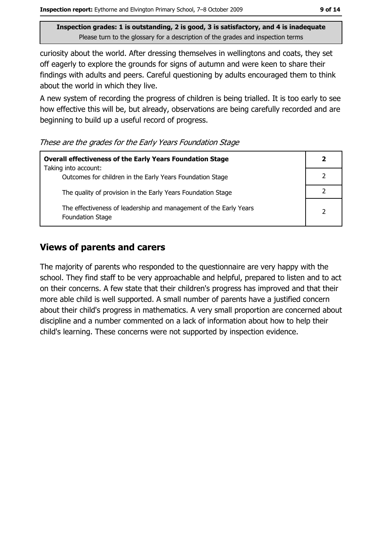curiosity about the world. After dressing themselves in wellingtons and coats, they set off eagerly to explore the grounds for signs of autumn and were keen to share their findings with adults and peers. Careful questioning by adults encouraged them to think about the world in which they live.

A new system of recording the progress of children is being trialled. It is too early to see how effective this will be, but already, observations are being carefully recorded and are beginning to build up a useful record of progress.

These are the grades for the Early Years Foundation Stage

| <b>Overall effectiveness of the Early Years Foundation Stage</b>                             |   |
|----------------------------------------------------------------------------------------------|---|
| Taking into account:<br>Outcomes for children in the Early Years Foundation Stage            |   |
| The quality of provision in the Early Years Foundation Stage                                 |   |
| The effectiveness of leadership and management of the Early Years<br><b>Foundation Stage</b> | っ |

## **Views of parents and carers**

The majority of parents who responded to the questionnaire are very happy with the school. They find staff to be very approachable and helpful, prepared to listen and to act on their concerns. A few state that their children's progress has improved and that their more able child is well supported. A small number of parents have a justified concern about their child's progress in mathematics. A very small proportion are concerned about discipline and a number commented on a lack of information about how to help their child's learning. These concerns were not supported by inspection evidence.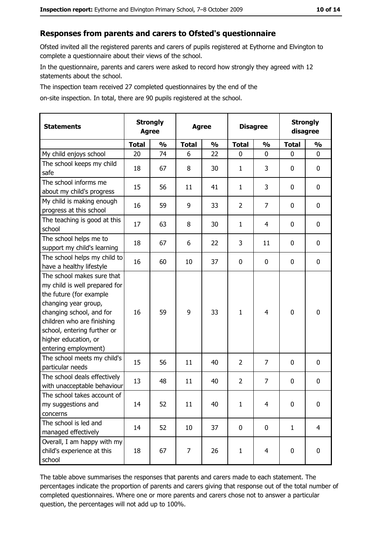## Responses from parents and carers to Ofsted's questionnaire

Ofsted invited all the registered parents and carers of pupils registered at Eythorne and Elvington to complete a questionnaire about their views of the school.

In the questionnaire, parents and carers were asked to record how strongly they agreed with 12 statements about the school.

The inspection team received 27 completed questionnaires by the end of the

on-site inspection. In total, there are 90 pupils registered at the school.

| <b>Statements</b>                                                                                                                                                                                                                                       | <b>Strongly</b><br><b>Agree</b> |               | <b>Agree</b> |               | <b>Disagree</b> |                | <b>Strongly</b><br>disagree |                |
|---------------------------------------------------------------------------------------------------------------------------------------------------------------------------------------------------------------------------------------------------------|---------------------------------|---------------|--------------|---------------|-----------------|----------------|-----------------------------|----------------|
|                                                                                                                                                                                                                                                         | <b>Total</b>                    | $\frac{0}{0}$ | <b>Total</b> | $\frac{0}{0}$ | <b>Total</b>    | $\frac{0}{0}$  | <b>Total</b>                | $\frac{0}{0}$  |
| My child enjoys school                                                                                                                                                                                                                                  | 20                              | 74            | 6            | 22            | $\mathbf 0$     | 0              | 0                           | $\mathbf 0$    |
| The school keeps my child<br>safe                                                                                                                                                                                                                       | 18                              | 67            | 8            | 30            | 1               | 3              | 0                           | 0              |
| The school informs me<br>about my child's progress                                                                                                                                                                                                      | 15                              | 56            | 11           | 41            | $\mathbf{1}$    | 3              | 0                           | $\mathbf 0$    |
| My child is making enough<br>progress at this school                                                                                                                                                                                                    | 16                              | 59            | 9            | 33            | $\overline{2}$  | 7              | 0                           | 0              |
| The teaching is good at this<br>school                                                                                                                                                                                                                  | 17                              | 63            | 8            | 30            | $\mathbf{1}$    | 4              | 0                           | $\mathbf 0$    |
| The school helps me to<br>support my child's learning                                                                                                                                                                                                   | 18                              | 67            | 6            | 22            | 3               | 11             | 0                           | $\mathbf 0$    |
| The school helps my child to<br>have a healthy lifestyle                                                                                                                                                                                                | 16                              | 60            | 10           | 37            | 0               | 0              | 0                           | 0              |
| The school makes sure that<br>my child is well prepared for<br>the future (for example<br>changing year group,<br>changing school, and for<br>children who are finishing<br>school, entering further or<br>higher education, or<br>entering employment) | 16                              | 59            | 9            | 33            | $\mathbf{1}$    | $\overline{4}$ | 0                           | $\mathbf 0$    |
| The school meets my child's<br>particular needs                                                                                                                                                                                                         | 15                              | 56            | 11           | 40            | $\overline{2}$  | $\overline{7}$ | 0                           | $\mathbf 0$    |
| The school deals effectively<br>with unacceptable behaviour                                                                                                                                                                                             | 13                              | 48            | 11           | 40            | $\overline{2}$  | $\overline{7}$ | 0                           | 0              |
| The school takes account of<br>my suggestions and<br>concerns                                                                                                                                                                                           | 14                              | 52            | 11           | 40            | 1               | 4              | 0                           | 0              |
| The school is led and<br>managed effectively                                                                                                                                                                                                            | 14                              | 52            | 10           | 37            | $\mathbf 0$     | $\mathbf 0$    | $\mathbf{1}$                | $\overline{4}$ |
| Overall, I am happy with my<br>child's experience at this<br>school                                                                                                                                                                                     | 18                              | 67            | 7            | 26            | $\mathbf{1}$    | $\overline{4}$ | 0                           | $\mathbf 0$    |

The table above summarises the responses that parents and carers made to each statement. The percentages indicate the proportion of parents and carers giving that response out of the total number of completed questionnaires. Where one or more parents and carers chose not to answer a particular question, the percentages will not add up to 100%.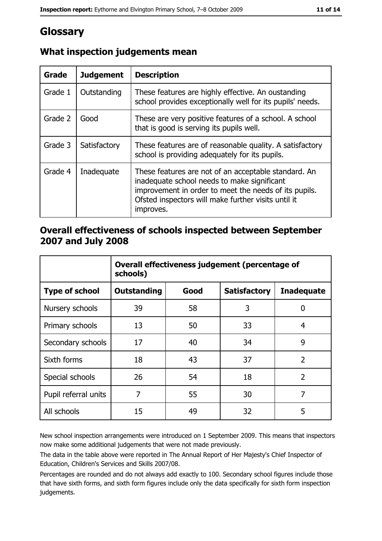# Glossary

| <b>Grade</b> | <b>Judgement</b> | <b>Description</b>                                                                                                                                                                                                               |
|--------------|------------------|----------------------------------------------------------------------------------------------------------------------------------------------------------------------------------------------------------------------------------|
| Grade 1      | Outstanding      | These features are highly effective. An oustanding<br>school provides exceptionally well for its pupils' needs.                                                                                                                  |
| Grade 2      | Good             | These are very positive features of a school. A school<br>that is good is serving its pupils well.                                                                                                                               |
| Grade 3      | Satisfactory     | These features are of reasonable quality. A satisfactory<br>school is providing adequately for its pupils.                                                                                                                       |
| Grade 4      | Inadequate       | These features are not of an acceptable standard. An<br>inadequate school needs to make significant<br>improvement in order to meet the needs of its pupils.<br>Ofsted inspectors will make further visits until it<br>improves. |

## What inspection judgements mean

## Overall effectiveness of schools inspected between September 2007 and July 2008

|                       | Overall effectiveness judgement (percentage of<br>schools) |      |                     |                   |
|-----------------------|------------------------------------------------------------|------|---------------------|-------------------|
| <b>Type of school</b> | Outstanding                                                | Good | <b>Satisfactory</b> | <b>Inadequate</b> |
| Nursery schools       | 39                                                         | 58   | 3                   | 0                 |
| Primary schools       | 13                                                         | 50   | 33                  | 4                 |
| Secondary schools     | 17                                                         | 40   | 34                  | 9                 |
| Sixth forms           | 18                                                         | 43   | 37                  | $\overline{2}$    |
| Special schools       | 26                                                         | 54   | 18                  | $\overline{2}$    |
| Pupil referral units  | 7                                                          | 55   | 30                  | 7                 |
| All schools           | 15                                                         | 49   | 32                  | 5                 |

New school inspection arrangements were introduced on 1 September 2009. This means that inspectors now make some additional judgements that were not made previously.

The data in the table above were reported in The Annual Report of Her Majesty's Chief Inspector of Education, Children's Services and Skills 2007/08.

Percentages are rounded and do not always add exactly to 100. Secondary school figures include those that have sixth forms, and sixth form figures include only the data specifically for sixth form inspection judgements.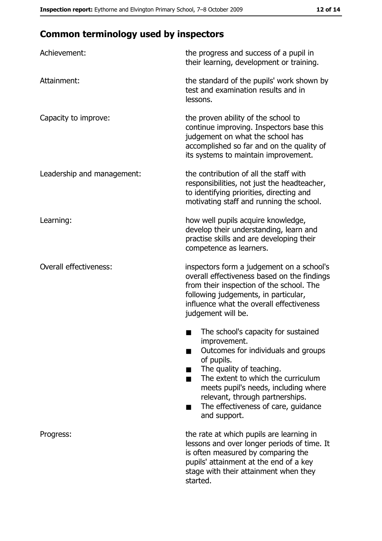# **Common terminology used by inspectors**

| Achievement:                  | the progress and success of a pupil in<br>their learning, development or training.                                                                                                                                                                                                                           |  |  |
|-------------------------------|--------------------------------------------------------------------------------------------------------------------------------------------------------------------------------------------------------------------------------------------------------------------------------------------------------------|--|--|
| Attainment:                   | the standard of the pupils' work shown by<br>test and examination results and in<br>lessons.                                                                                                                                                                                                                 |  |  |
| Capacity to improve:          | the proven ability of the school to<br>continue improving. Inspectors base this<br>judgement on what the school has<br>accomplished so far and on the quality of<br>its systems to maintain improvement.                                                                                                     |  |  |
| Leadership and management:    | the contribution of all the staff with<br>responsibilities, not just the headteacher,<br>to identifying priorities, directing and<br>motivating staff and running the school.                                                                                                                                |  |  |
| Learning:                     | how well pupils acquire knowledge,<br>develop their understanding, learn and<br>practise skills and are developing their<br>competence as learners.                                                                                                                                                          |  |  |
| <b>Overall effectiveness:</b> | inspectors form a judgement on a school's<br>overall effectiveness based on the findings<br>from their inspection of the school. The<br>following judgements, in particular,<br>influence what the overall effectiveness<br>judgement will be.                                                               |  |  |
|                               | The school's capacity for sustained<br>improvement.<br>Outcomes for individuals and groups<br>of pupils.<br>The quality of teaching.<br>The extent to which the curriculum<br>meets pupil's needs, including where<br>relevant, through partnerships.<br>The effectiveness of care, guidance<br>and support. |  |  |
| Progress:                     | the rate at which pupils are learning in<br>lessons and over longer periods of time. It<br>is often measured by comparing the<br>pupils' attainment at the end of a key<br>stage with their attainment when they<br>started.                                                                                 |  |  |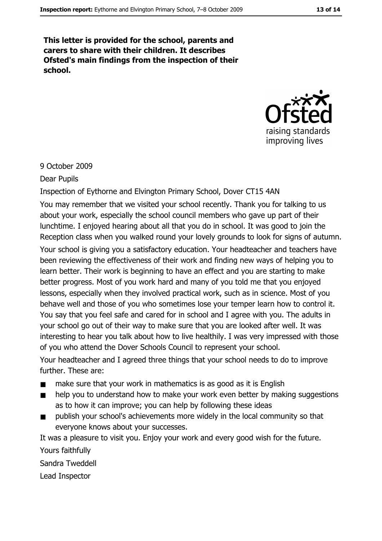This letter is provided for the school, parents and carers to share with their children. It describes Ofsted's main findings from the inspection of their school.



#### 9 October 2009

#### **Dear Pupils**

#### Inspection of Eythorne and Elvington Primary School, Dover CT15 4AN

You may remember that we visited your school recently. Thank you for talking to us about your work, especially the school council members who gave up part of their lunchtime. I enjoyed hearing about all that you do in school. It was good to join the Reception class when you walked round your lovely grounds to look for signs of autumn.

Your school is giving you a satisfactory education. Your headteacher and teachers have been reviewing the effectiveness of their work and finding new ways of helping you to learn better. Their work is beginning to have an effect and you are starting to make better progress. Most of you work hard and many of you told me that you enjoyed lessons, especially when they involved practical work, such as in science. Most of you behave well and those of you who sometimes lose your temper learn how to control it. You say that you feel safe and cared for in school and I agree with you. The adults in your school go out of their way to make sure that you are looked after well. It was interesting to hear you talk about how to live healthily. I was very impressed with those of you who attend the Dover Schools Council to represent your school.

Your headteacher and I agreed three things that your school needs to do to improve further. These are:

- make sure that your work in mathematics is as good as it is English
- help you to understand how to make your work even better by making suggestions  $\blacksquare$ as to how it can improve; you can help by following these ideas
- publish your school's achievements more widely in the local community so that  $\blacksquare$ everyone knows about your successes.

It was a pleasure to visit you. Enjoy your work and every good wish for the future. Yours faithfully

Sandra Tweddell

Lead Inspector